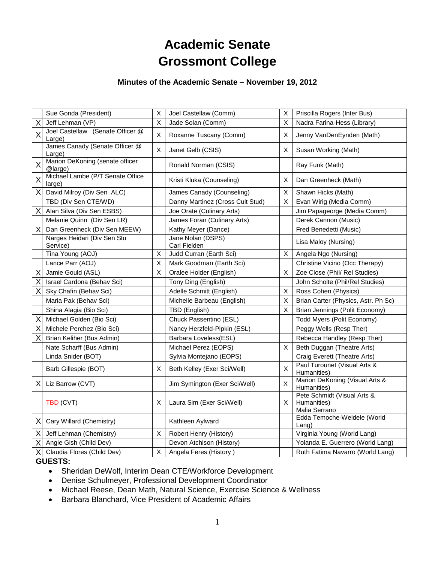# **Academic Senate Grossmont College**

## **Minutes of the Academic Senate – November 19, 2012**

|                         | Sue Gonda (President)                      | $\pmb{\mathsf{X}}$ | Joel Castellaw (Comm)             | X                         | Priscilla Rogers (Inter Bus)                                |
|-------------------------|--------------------------------------------|--------------------|-----------------------------------|---------------------------|-------------------------------------------------------------|
| X                       | Jeff Lehman (VP)                           | X                  | Jade Solan (Comm)                 | X                         | Nadra Farina-Hess (Library)                                 |
| $\overline{\mathsf{X}}$ | Joel Castellaw (Senate Officer @<br>Large) | X                  | Roxanne Tuscany (Comm)            | X                         | Jenny VanDenEynden (Math)                                   |
|                         | James Canady (Senate Officer @<br>Large)   | X                  | Janet Gelb (CSIS)                 | X                         | Susan Working (Math)                                        |
| X                       | Marion DeKoning (senate officer<br>@large) |                    | Ronald Norman (CSIS)              |                           | Ray Funk (Math)                                             |
| X                       | Michael Lambe (P/T Senate Office<br>large) |                    | Kristi Kluka (Counseling)         | X                         | Dan Greenheck (Math)                                        |
| $\times$                | David Milroy (Div Sen ALC)                 |                    | James Canady (Counseling)         | х                         | Shawn Hicks (Math)                                          |
|                         | TBD (Div Sen CTE/WD)                       |                    | Danny Martinez (Cross Cult Stud)  | Χ                         | Evan Wirig (Media Comm)                                     |
| X                       | Alan Silva (Div Sen ESBS)                  |                    | Joe Orate (Culinary Arts)         |                           | Jim Papageorge (Media Comm)                                 |
|                         | Melanie Quinn (Div Sen LR)                 |                    | James Foran (Culinary Arts)       |                           | Derek Cannon (Music)                                        |
| X                       | Dan Greenheck (Div Sen MEEW)               |                    | Kathy Meyer (Dance)               |                           | Fred Benedetti (Music)                                      |
|                         | Narges Heidari (Div Sen Stu<br>Service)    |                    | Jane Nolan (DSPS)<br>Carl Fielden |                           | Lisa Maloy (Nursing)                                        |
|                         | Tina Young (AOJ)                           | $\mathsf{X}$       | Judd Curran (Earth Sci)           | $\boldsymbol{\mathsf{X}}$ | Angela Ngo (Nursing)                                        |
|                         | Lance Parr (AOJ)                           | X                  | Mark Goodman (Earth Sci)          |                           | Christine Vicino (Occ Therapy)                              |
| X                       | Jamie Gould (ASL)                          | X                  | Oralee Holder (English)           | Χ                         | Zoe Close (Phil/ Rel Studies)                               |
| X                       | Israel Cardona (Behav Sci)                 |                    | Tony Ding (English)               |                           | John Scholte (Phil/Rel Studies)                             |
| X                       | Sky Chafin (Behav Sci)                     |                    | Adelle Schmitt (English)          | X                         | Ross Cohen (Physics)                                        |
|                         | Maria Pak (Behav Sci)                      |                    | Michelle Barbeau (English)        | $\times$                  | Brian Carter (Physics, Astr. Ph Sc)                         |
|                         | Shina Alagia (Bio Sci)                     |                    | TBD (English)                     | X                         | Brian Jennings (Polit Economy)                              |
| X                       | Michael Golden (Bio Sci)                   |                    | Chuck Passentino (ESL)            |                           | Todd Myers (Polit Economy)                                  |
| Χ                       | Michele Perchez (Bio Sci)                  |                    | Nancy Herzfeld-Pipkin (ESL)       |                           | Peggy Wells (Resp Ther)                                     |
| X                       | Brian Keliher (Bus Admin)                  |                    | Barbara Loveless(ESL)             |                           | Rebecca Handley (Resp Ther)                                 |
|                         | Nate Scharff (Bus Admin)                   |                    | Michael Perez (EOPS)              | X                         | Beth Duggan (Theatre Arts)                                  |
|                         | Linda Snider (BOT)                         |                    | Sylvia Montejano (EOPS)           |                           | Craig Everett (Theatre Arts)                                |
|                         | Barb Gillespie (BOT)                       | X                  | Beth Kelley (Exer Sci/Well)       | $\sf X$                   | Paul Turounet (Visual Arts &<br>Humanities)                 |
| ΧI                      | Liz Barrow (CVT)                           |                    | Jim Symington (Exer Sci/Well)     | $\boldsymbol{\mathsf{X}}$ | Marion DeKoning (Visual Arts &<br>Humanities)               |
|                         | TBD (CVT)                                  | X                  | Laura Sim (Exer Sci/Well)         | Χ                         | Pete Schmidt (Visual Arts &<br>Humanities)<br>Malia Serrano |
| Χl                      | Cary Willard (Chemistry)                   |                    | Kathleen Aylward                  |                           | Edda Temoche-Weldele (World<br>Lang)                        |
| Χ                       | Jeff Lehman (Chemistry)                    | X                  | Robert Henry (History)            |                           | Virginia Young (World Lang)                                 |
| Χ                       | Angie Gish (Child Dev)                     |                    | Devon Atchison (History)          |                           | Yolanda E. Guerrero (World Lang)                            |
| Χ                       | Claudia Flores (Child Dev)                 | X                  | Angela Feres (History)            |                           | Ruth Fatima Navarro (World Lang)                            |

#### **GUESTS:**

- Sheridan DeWolf, Interim Dean CTE/Workforce Development
- Denise Schulmeyer, Professional Development Coordinator
- Michael Reese, Dean Math, Natural Science, Exercise Science & Wellness
- Barbara Blanchard, Vice President of Academic Affairs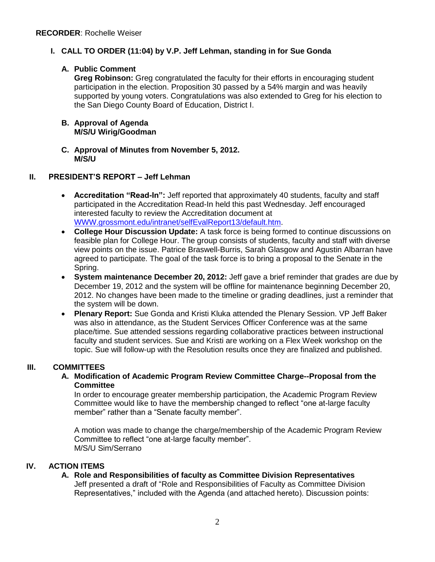## **I. CALL TO ORDER (11:04) by V.P. Jeff Lehman, standing in for Sue Gonda**

## **A. Public Comment**

**Greg Robinson:** Greg congratulated the faculty for their efforts in encouraging student participation in the election. Proposition 30 passed by a 54% margin and was heavily supported by young voters. Congratulations was also extended to Greg for his election to the San Diego County Board of Education, District I.

#### **B. Approval of Agenda M/S/U Wirig/Goodman**

**C. Approval of Minutes from November 5, 2012. M/S/U** 

## **II. PRESIDENT'S REPORT – Jeff Lehman**

- **Accreditation "Read-In":** Jeff reported that approximately 40 students, faculty and staff participated in the Accreditation Read-In held this past Wednesday. Jeff encouraged interested faculty to review the Accreditation document at [WWW.grossmont.edu/intranet/selfEvalReport13/default.htm.](http://www.grossmont.edu/intranet/selfEvalReport13/default.htm)
- **College Hour Discussion Update:** A task force is being formed to continue discussions on feasible plan for College Hour. The group consists of students, faculty and staff with diverse view points on the issue. Patrice Braswell-Burris, Sarah Glasgow and Agustin Albarran have agreed to participate. The goal of the task force is to bring a proposal to the Senate in the Spring.
- **System maintenance December 20, 2012:** Jeff gave a brief reminder that grades are due by December 19, 2012 and the system will be offline for maintenance beginning December 20, 2012. No changes have been made to the timeline or grading deadlines, just a reminder that the system will be down.
- **Plenary Report:** Sue Gonda and Kristi Kluka attended the Plenary Session. VP Jeff Baker was also in attendance, as the Student Services Officer Conference was at the same place/time. Sue attended sessions regarding collaborative practices between instructional faculty and student services. Sue and Kristi are working on a Flex Week workshop on the topic. Sue will follow-up with the Resolution results once they are finalized and published.

## **III. COMMITTEES**

**A. Modification of Academic Program Review Committee Charge--Proposal from the Committee**

In order to encourage greater membership participation, the Academic Program Review Committee would like to have the membership changed to reflect "one at-large faculty member" rather than a "Senate faculty member".

A motion was made to change the charge/membership of the Academic Program Review Committee to reflect "one at-large faculty member". M/S/U Sim/Serrano

### **IV. ACTION ITEMS**

### **A. Role and Responsibilities of faculty as Committee Division Representatives**

Jeff presented a draft of "Role and Responsibilities of Faculty as Committee Division Representatives," included with the Agenda (and attached hereto). Discussion points: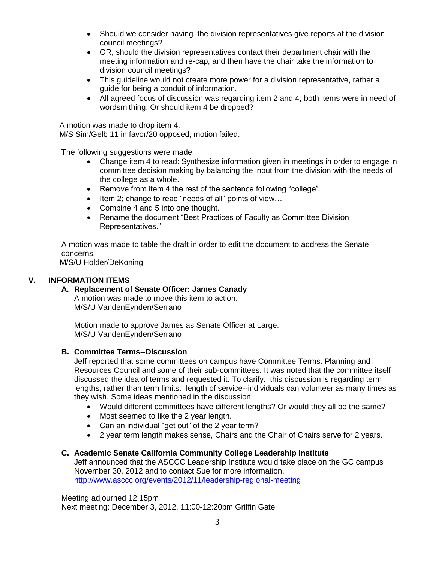- Should we consider having the division representatives give reports at the division council meetings?
- OR, should the division representatives contact their department chair with the meeting information and re-cap, and then have the chair take the information to division council meetings?
- This guideline would not create more power for a division representative, rather a guide for being a conduit of information.
- All agreed focus of discussion was regarding item 2 and 4; both items were in need of wordsmithing. Or should item 4 be dropped?

A motion was made to drop item 4.

M/S Sim/Gelb 11 in favor/20 opposed; motion failed.

The following suggestions were made:

- Change item 4 to read: Synthesize information given in meetings in order to engage in committee decision making by balancing the input from the division with the needs of the college as a whole.
- Remove from item 4 the rest of the sentence following "college".
- Item 2; change to read "needs of all" points of view...
- Combine 4 and 5 into one thought.
- Rename the document "Best Practices of Faculty as Committee Division Representatives."

A motion was made to table the draft in order to edit the document to address the Senate concerns.

M/S/U Holder/DeKoning

### **V. INFORMATION ITEMS**

## **A. Replacement of Senate Officer: James Canady**

A motion was made to move this item to action. M/S/U VandenEynden/Serrano

Motion made to approve James as Senate Officer at Large. M/S/U VandenEynden/Serrano

### **B. Committee Terms--Discussion**

Jeff reported that some committees on campus have Committee Terms: Planning and Resources Council and some of their sub-committees. It was noted that the committee itself discussed the idea of terms and requested it. To clarify: this discussion is regarding term lengths, rather than term limits: length of service--individuals can volunteer as many times as they wish. Some ideas mentioned in the discussion:

- Would different committees have different lengths? Or would they all be the same?
- Most seemed to like the 2 year length.
- Can an individual "get out" of the 2 year term?
- 2 year term length makes sense, Chairs and the Chair of Chairs serve for 2 years.

### **C. Academic Senate California Community College Leadership Institute**

Jeff announced that the ASCCC Leadership Institute would take place on the GC campus November 30, 2012 and to contact Sue for more information. <http://www.asccc.org/events/2012/11/leadership-regional-meeting>

Meeting adjourned 12:15pm Next meeting: December 3, 2012, 11:00-12:20pm Griffin Gate